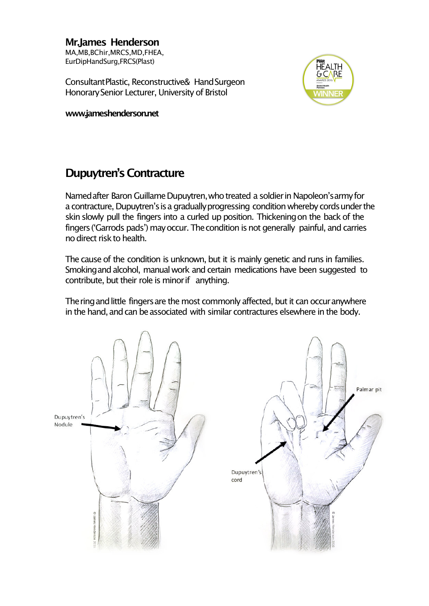**Mr.James Henderson** MA,MB,BChir,MRCS,MD,FHEA, EurDipHandSurg,FRCS(Plast)

ConsultantPlastic, Reconstructive& HandSurgeon Honorary Senior Lecturer, University of Bristol

**www.jameshenderson.net**



# **Dupuytren's Contracture**

Named after Baron Guillame Dupuytren, who treated a soldier in Napoleon's army for a contracture, Dupuytren's is a gradually progressing condition whereby cords under the skin slowly pull the fingers into a curled up position. Thickeningon the back of the fingers ('Garrods pads') may occur. The condition is not generally painful, and carries no direct risk to health.

The cause of the condition is unknown, but it is mainly genetic and runs in families. Smoking and alcohol, manual work and certain medications have been suggested to contribute, but their role is minor if anything.

The ring and little fingers are the most commonly affected, but it can occur anywhere in the hand, and can be associated with similar contractures elsewhere in the body.

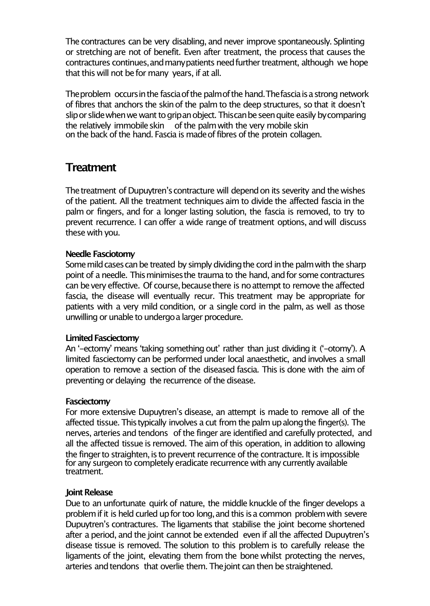The contractures can be very disabling, and never improve spontaneously. Splinting or stretching are not of benefit. Even after treatment, the process that causes the contractures continues, and many patients need further treatment, although we hope that this will not be for many years, if at all.

The problem occurs in the fascia of the palm of the hand. The fascia is a strong network of fibres that anchors the skinof the palm to the deep structures, so that it doesn't slip or slide when we want to grip an object. This can be seen quite easily by comparing the relatively immobile skin of the palm with the very mobile skin on the back of the hand. Fascia is made of fibres of the protein collagen.

### **Treatment**

The treatment of Dupuytren's contracture will depend on its severity and the wishes of the patient. All the treatment techniques aim to divide the affected fascia in the palm or fingers, and for a longer lasting solution, the fascia is removed, to try to prevent recurrence. I can offer a wide range of treatment options, and will discuss these with you.

#### **Needle Fasciotomy**

Some mild cases can be treated by simply dividing the cord in the palm with the sharp point of a needle. This minimises the trauma to the hand, and for some contractures can be very effective. Of course, because there is no attempt to remove the affected fascia, the disease will eventually recur. This treatment may be appropriate for patients with a very mild condition, or a single cord in the palm, as well as those unwilling or unable to undergo a larger procedure.

### **Limited Fasciectomy**

An '-ectomy' means 'taking something out' rather than just dividing it ('-otomy'). A limited fasciectomy can be performed under local anaesthetic, and involves a small operation to remove a section of the diseased fascia. This is done with the aim of preventing or delaying the recurrence of the disease.

#### **Fasciectomy**

For more extensive Dupuytren's disease, an attempt is made to remove all of the affected tissue. Thistypically involves a cut from the palm upalongthe finger(s). The nerves, arteries and tendons of the finger are identified and carefully protected, and all the affected tissue is removed. The aim of this operation, in addition to allowing the finger to straighten, is to prevent recurrence of the contracture. It is impossible for any surgeon to completely eradicate recurrence with any currently available treatment.

#### **Joint Release**

Due to an unfortunate quirk of nature, the middle knuckle of the finger develops a problem if it is held curled up for too long, and this is a common problem with severe Dupuytren's contractures. The ligaments that stabilise the joint become shortened after a period, and the joint cannot be extended even if all the affected Dupuytren's disease tissue is removed. The solution to this problem is to carefully release the ligaments of the joint, elevating them from the bone whilst protecting the nerves, arteries and tendons that overlie them. The joint can then be straightened.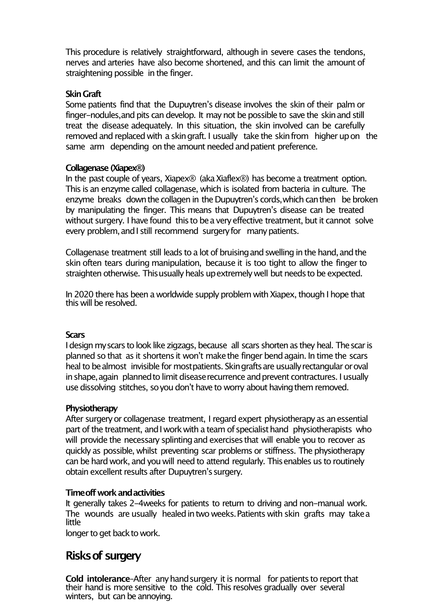This procedure is relatively straightforward, although in severe cases the tendons, nerves and arteries have also become shortened, and this can limit the amount of straightening possible in the finger.

#### **SkinGraft**

Some patients find that the Dupuytren's disease involves the skin of their palm or finger-nodules, and pits can develop. It may not be possible to save the skin and still treat the disease adequately. In this situation, the skin involved can be carefully removed and replaced with a skin graft. I usually take the skin from higher up on the same arm depending on the amount needed and patient preference.

#### **Collagenase (Xiapex®)**

In the past couple of years, Xiapex $\mathcal D$  (aka Xiaflex $\mathcal D$ ) has become a treatment option. This is an enzyme called collagenase, which is isolated from bacteria in culture. The enzyme breaks down the collagen in the Dupuytren's cords, which can then be broken by manipulating the finger. This means that Dupuytren's disease can be treated without surgery. I have found this to be a very effective treatment, but it cannot solve every problem, and I still recommend surgery for many patients.

Collagenase treatment still leads to a lot of bruising and swelling in the hand, and the skin often tears during manipulation, because it is too tight to allow the finger to straighten otherwise. This usually heals up extremely well but needs to be expected.

In 2020 there has been a worldwide supply problem with Xiapex, though I hope that this will be resolved.

#### **Scars**

I design my scars to look like zigzags, because all scars shorten as they heal. The scar is planned so that as it shortens it won't make the finger bend again. In time the scars heal to be almost invisible for mostpatients. Skin grafts are usually rectangular or oval in shape, again planned to limit disease recurrence and prevent contractures. I usually use dissolving stitches, so you don't have to worry about having them removed.

#### **Physiotherapy**

After surgery or collagenase treatment, I regard expert physiotherapy as an essential part of the treatment, and I work with a team of specialist hand physiotherapists who will provide the necessary splinting and exercises that will enable you to recover as quickly as possible, whilst preventing scar problems or stiffness. The physiotherapy can be hard work, and you will need to attend regularly. Thisenables us to routinely obtain excellent results after Dupuytren's surgery.

#### **Timeoffworkandactivities**

It generally takes 2-4weeks for patients to return to driving and non-manual work. The wounds are usually healed in two weeks. Patients with skin grafts may take a little

longer to get back to work.

# **Risksof surgery**

**Cold intolerance–After any hand surgery it is normal for patients to report that** their hand is more sensitive to the cold. This resolves gradually over several winters, but can be annoying.